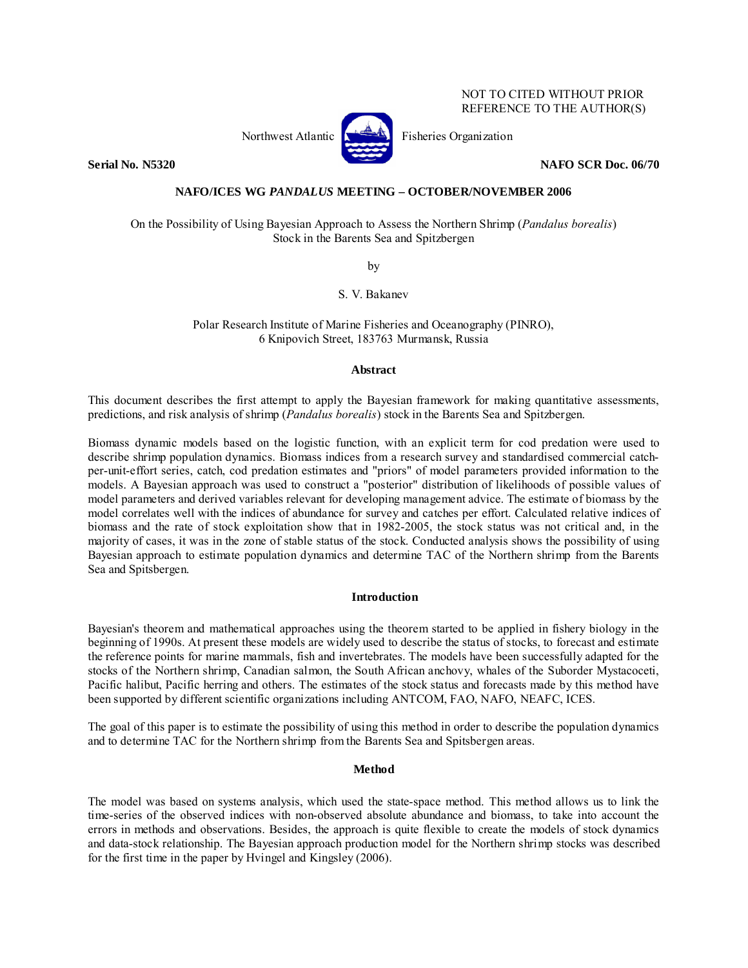#### NOT TO CITED WITHOUT PRIOR REFERENCE TO THE AUTHOR(S)



Northwest Atlantic  $\left[\begin{matrix} 1 & 1 \\ 1 & 1 \end{matrix}\right]$  Fisheries Organization

**Serial No. N5320 NAFO SCR Doc. 06/70 NAFO SCR Doc. 06/70** 

# **NAFO/ICES WG** *PANDALUS* **MEETING – OCTOBER/NOVEMBER 2006**

#### On the Possibility of Using Bayesian Approach to Assess the Northern Shrimp (*Pandalus borealis*) Stock in the Barents Sea and Spitzbergen

by

S. V. Bakanev

Polar Research Institute of Marine Fisheries and Oceanography (PINRO), 6 Knipovich Street, 183763 Murmansk, Russia

# **Abstract**

This document describes the first attempt to apply the Bayesian framework for making quantitative assessments, predictions, and risk analysis of shrimp (*Pandalus borealis*) stock in the Barents Sea and Spitzbergen.

Biomass dynamic models based on the logistic function, with an explicit term for cod predation were used to describe shrimp population dynamics. Biomass indices from a research survey and standardised commercial catchper-unit-effort series, catch, cod predation estimates and "priors" of model parameters provided information to the models. A Bayesian approach was used to construct a "posterior" distribution of likelihoods of possible values of model parameters and derived variables relevant for developing management advice. The estimate of biomass by the model correlates well with the indices of abundance for survey and catches per effort. Calculated relative indices of biomass and the rate of stock exploitation show that in 1982-2005, the stock status was not critical and, in the majority of cases, it was in the zone of stable status of the stock. Conducted analysis shows the possibility of using Bayesian approach to estimate population dynamics and determine TAC of the Northern shrimp from the Barents Sea and Spitsbergen.

# **Introduction**

Bayesian's theorem and mathematical approaches using the theorem started to be applied in fishery biology in the beginning of 1990s. At present these models are widely used to describe the status of stocks, to forecast and estimate the reference points for marine mammals, fish and invertebrates. The models have been successfully adapted for the stocks of the Northern shrimp, Canadian salmon, the South African anchovy, whales of the Suborder Mystacoceti, Pacific halibut, Pacific herring and others. The estimates of the stock status and forecasts made by this method have been supported by different scientific organizations including ANTCOM, FAO, NAFO, NEAFC, ICES.

The goal of this paper is to estimate the possibility of using this method in order to describe the population dynamics and to determine TAC for the Northern shrimp from the Barents Sea and Spitsbergen areas.

# **Method**

The model was based on systems analysis, which used the state-space method. This method allows us to link the time-series of the observed indices with non-observed absolute abundance and biomass, to take into account the errors in methods and observations. Besides, the approach is quite flexible to create the models of stock dynamics and data-stock relationship. The Bayesian approach production model for the Northern shrimp stocks was described for the first time in the paper by Hvingel and Kingsley (2006).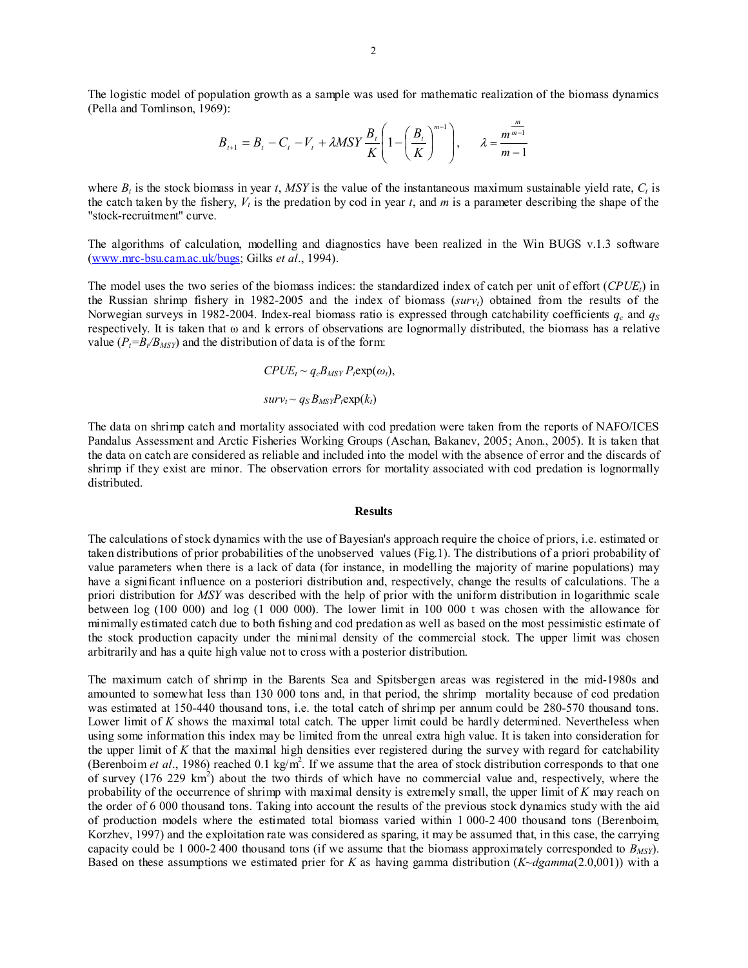The logistic model of population growth as a sample was used for mathematic realization of the biomass dynamics (Pella and Tomlinson, 1969):

$$
B_{t+1} = B_t - C_t - V_t + \lambda MSY \frac{B_t}{K} \left( 1 - \left( \frac{B_t}{K} \right)^{m-1} \right), \quad \lambda = \frac{m^{\frac{m}{m-1}}}{m-1}
$$

where  $B_t$  is the stock biomass in year *t*, *MSY* is the value of the instantaneous maximum sustainable yield rate,  $C_t$  is the catch taken by the fishery,  $V_t$  is the predation by cod in year  $t$ , and  $m$  is a parameter describing the shape of the "stock-recruitment" curve.

The algorithms of calculation, modelling and diagnostics have been realized in the Win BUGS v.1.3 software (www.mrc-bsu.cam.ac.uk/bugs; Gilks *et al*., 1994).

The model uses the two series of the biomass indices: the standardized index of catch per unit of effort  $(CPUE<sub>t</sub>)$  in the Russian shrimp fishery in 1982-2005 and the index of biomass (*survt*) obtained from the results of the Norwegian surveys in 1982-2004. Index-real biomass ratio is expressed through catchability coefficients  $q_c$  and  $q_s$ respectively. It is taken that ω and k errors of observations are lognormally distributed, the biomass has a relative value  $(P_t=B_t/B_{MSY})$  and the distribution of data is of the form:

$$
CPUE_t \sim q_cB_{MSY} P_t \exp(\omega_t),
$$

$$
surv_t \sim q_S B_{MSY} P_t exp(k_t)
$$

The data on shrimp catch and mortality associated with cod predation were taken from the reports of NAFO/ICES Pandalus Assessment and Arctic Fisheries Working Groups (Aschan, Bakanev, 2005; Anon., 2005). It is taken that the data on catch are considered as reliable and included into the model with the absence of error and the discards of shrimp if they exist are minor. The observation errors for mortality associated with cod predation is lognormally distributed.

#### **Results**

The calculations of stock dynamics with the use of Bayesian's approach require the choice of priors, i.e. estimated or taken distributions of prior probabilities of the unobserved values (Fig.1). The distributions of a priori probability of value parameters when there is a lack of data (for instance, in modelling the majority of marine populations) may have a significant influence on a posteriori distribution and, respectively, change the results of calculations. The a priori distribution for *MSY* was described with the help of prior with the uniform distribution in logarithmic scale between log (100 000) and log (1 000 000). The lower limit in 100 000 t was chosen with the allowance for minimally estimated catch due to both fishing and cod predation as well as based on the most pessimistic estimate of the stock production capacity under the minimal density of the commercial stock. The upper limit was chosen arbitrarily and has a quite high value not to cross with a posterior distribution.

The maximum catch of shrimp in the Barents Sea and Spitsbergen areas was registered in the mid-1980s and amounted to somewhat less than 130 000 tons and, in that period, the shrimp mortality because of cod predation was estimated at 150-440 thousand tons, i.e. the total catch of shrimp per annum could be 280-570 thousand tons. Lower limit of *K* shows the maximal total catch. The upper limit could be hardly determined. Nevertheless when using some information this index may be limited from the unreal extra high value. It is taken into consideration for the upper limit of *K* that the maximal high densities ever registered during the survey with regard for catchability (Berenboim *et al.*, 1986) reached 0.1 kg/m<sup>2</sup>. If we assume that the area of stock distribution corresponds to that one of survey (176 229  $km^2$ ) about the two thirds of which have no commercial value and, respectively, where the probability of the occurrence of shrimp with maximal density is extremely small, the upper limit of *K* may reach on the order of 6 000 thousand tons. Taking into account the results of the previous stock dynamics study with the aid of production models where the estimated total biomass varied within 1 000-2 400 thousand tons (Berenboim, Korzhev, 1997) and the exploitation rate was considered as sparing, it may be assumed that, in this case, the carrying capacity could be 1 000-2 400 thousand tons (if we assume that the biomass approximately corresponded to  $B_{MSV}$ ). Based on these assumptions we estimated prier for *K* as having gamma distribution (*K~dgamma*(2.0,001)) with a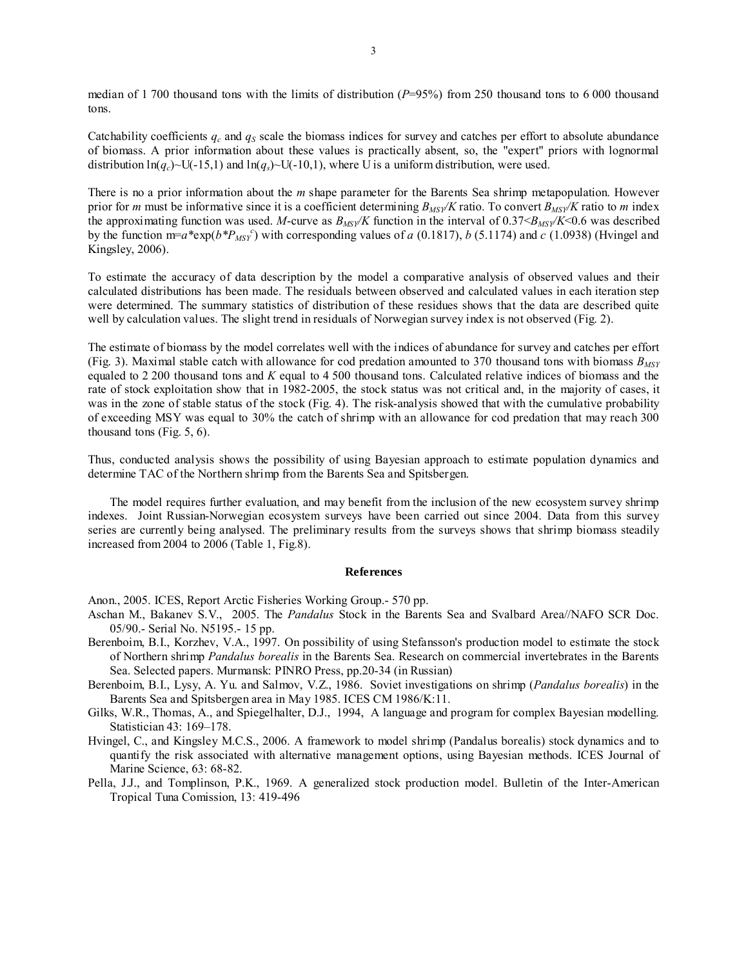median of 1 700 thousand tons with the limits of distribution ( $P=95\%$ ) from 250 thousand tons to 6 000 thousand tons.

Catchability coefficients  $q_c$  and  $q_S$  scale the biomass indices for survey and catches per effort to absolute abundance of biomass. A prior information about these values is practically absent, so, the "expert" priors with lognormal distribution  $\ln(q_c)$  – U(-15,1) and  $\ln(q_s)$  – U(-10,1), where U is a uniform distribution, were used.

There is no a prior information about the *m* shape parameter for the Barents Sea shrimp metapopulation. However prior for *m* must be informative since it is a coefficient determining *BMSY/K* ratio. To convert *BMSY/K* ratio to *m* index the approximating function was used. *M*-curve as  $B_{MSY}/K$  function in the interval of  $0.37 < B_{MSY}/K < 0.6$  was described by the function  $m=a*exp(b*P_{MSY}^c)$  with corresponding values of *a* (0.1817), *b* (5.1174) and *c* (1.0938) (Hvingel and Kingsley, 2006).

To estimate the accuracy of data description by the model a comparative analysis of observed values and their calculated distributions has been made. The residuals between observed and calculated values in each iteration step were determined. The summary statistics of distribution of these residues shows that the data are described quite well by calculation values. The slight trend in residuals of Norwegian survey index is not observed (Fig. 2).

The estimate of biomass by the model correlates well with the indices of abundance for survey and catches per effort (Fig. 3). Maximal stable catch with allowance for cod predation amounted to 370 thousand tons with biomass  $B_{MSY}$ equaled to 2 200 thousand tons and *K* equal to 4 500 thousand tons. Calculated relative indices of biomass and the rate of stock exploitation show that in 1982-2005, the stock status was not critical and, in the majority of cases, it was in the zone of stable status of the stock (Fig. 4). The risk-analysis showed that with the cumulative probability of exceeding MSY was equal to 30% the catch of shrimp with an allowance for cod predation that may reach 300 thousand tons (Fig. 5, 6).

Thus, conducted analysis shows the possibility of using Bayesian approach to estimate population dynamics and determine TAC of the Northern shrimp from the Barents Sea and Spitsbergen.

The model requires further evaluation, and may benefit from the inclusion of the new ecosystem survey shrimp indexes. Joint Russian-Norwegian ecosystem surveys have been carried out since 2004. Data from this survey series are currently being analysed. The preliminary results from the surveys shows that shrimp biomass steadily increased from 2004 to 2006 (Table 1, Fig.8).

#### **References**

Anon., 2005. ICES, Report Arctic Fisheries Working Group.- 570 pp.

- Aschan M., Bakanev S.V., 2005. The *Pandalus* Stock in the Barents Sea and Svalbard Area//NAFO SCR Doc. 05/90.- Serial No. N5195.- 15 pp.
- Berenboim, B.I., Korzhev, V.A., 1997. On possibility of using Stefansson's production model to estimate the stock of Northern shrimp *Pandalus borealis* in the Barents Sea. Research on commercial invertebrates in the Barents Sea. Selected papers. Murmansk: PINRO Press, pp.20-34 (in Russian)
- Berenboim, B.I., Lysy, A. Yu. and Salmov, V.Z., 1986. Soviet investigations on shrimp (*Pandalus borealis*) in the Barents Sea and Spitsbergen area in May 1985. ICES CM 1986/K:11.
- Gilks, W.R., Thomas, A., and Spiegelhalter, D.J., 1994, A language and program for complex Bayesian modelling. Statistician 43: 169–178.
- Hvingel, C., and Kingsley M.C.S., 2006. A framework to model shrimp (Pandalus borealis) stock dynamics and to quantify the risk associated with alternative management options, using Bayesian methods. ICES Journal of Marine Science, 63: 68-82.
- Pella, J.J., and Tomplinson, P.K., 1969. A generalized stock production model. Bulletin of the Inter-American Tropical Tuna Comission, 13: 419-496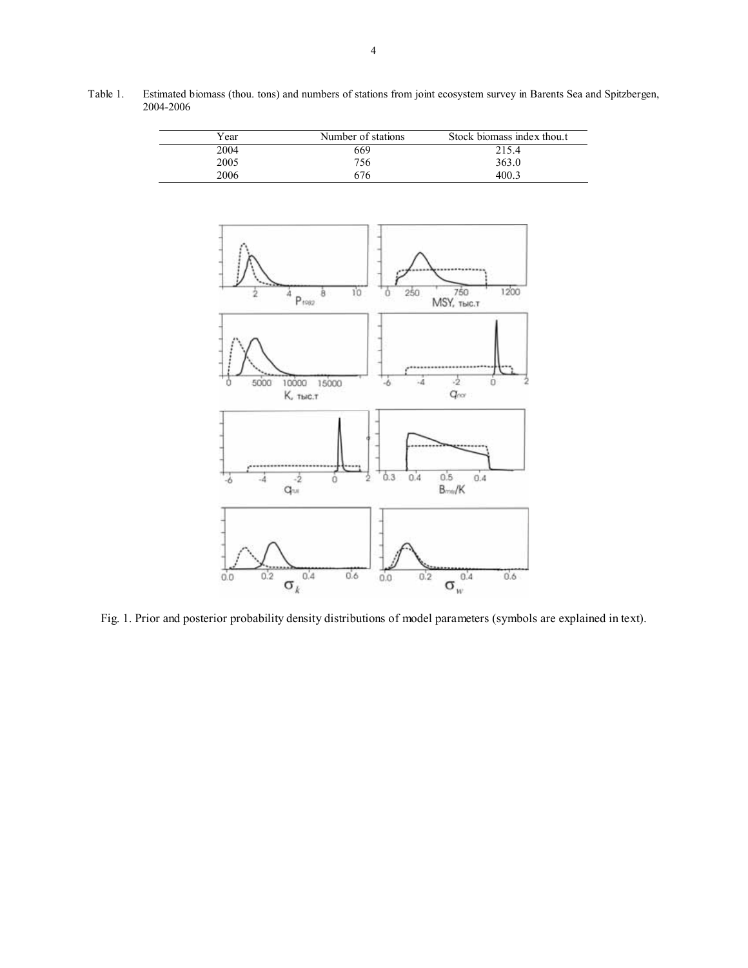

Table 1. Estimated biomass (thou. tons) and numbers of stations from joint ecosystem survey in Barents Sea and Spitzbergen, 2004-2006

Fig. 1. Prior and posterior probability density distributions of model parameters (symbols are explained in text).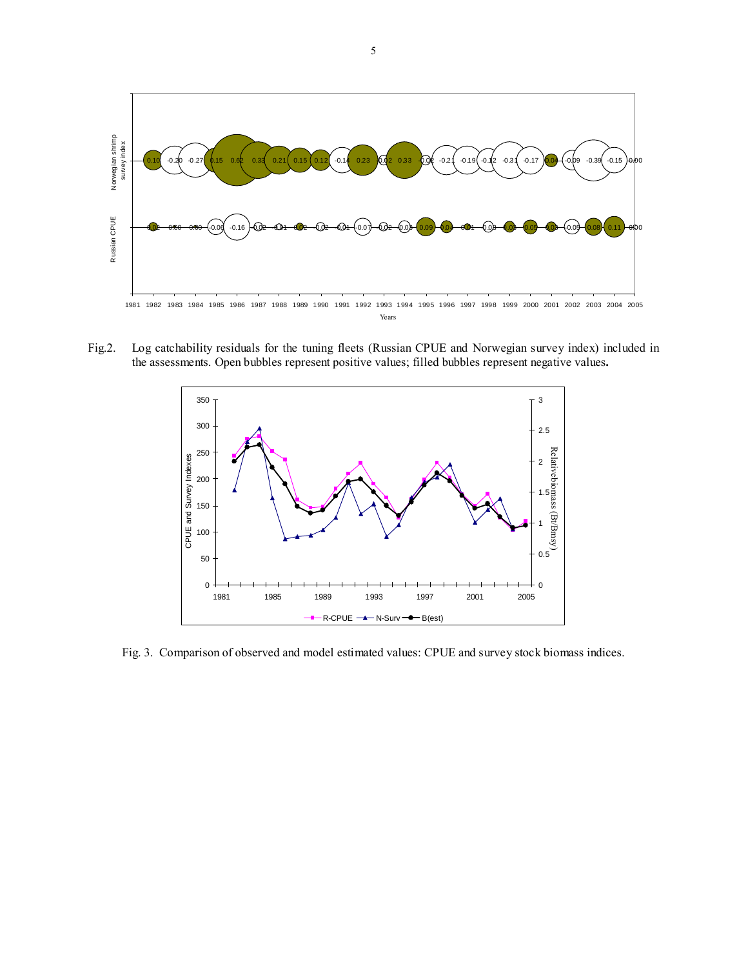

Fig.2. Log catchability residuals for the tuning fleets (Russian CPUE and Norwegian survey index) included in the assessments. Open bubbles represent positive values; filled bubbles represent negative values**.**



Fig. 3. Comparison of observed and model estimated values: CPUE and survey stock biomass indices.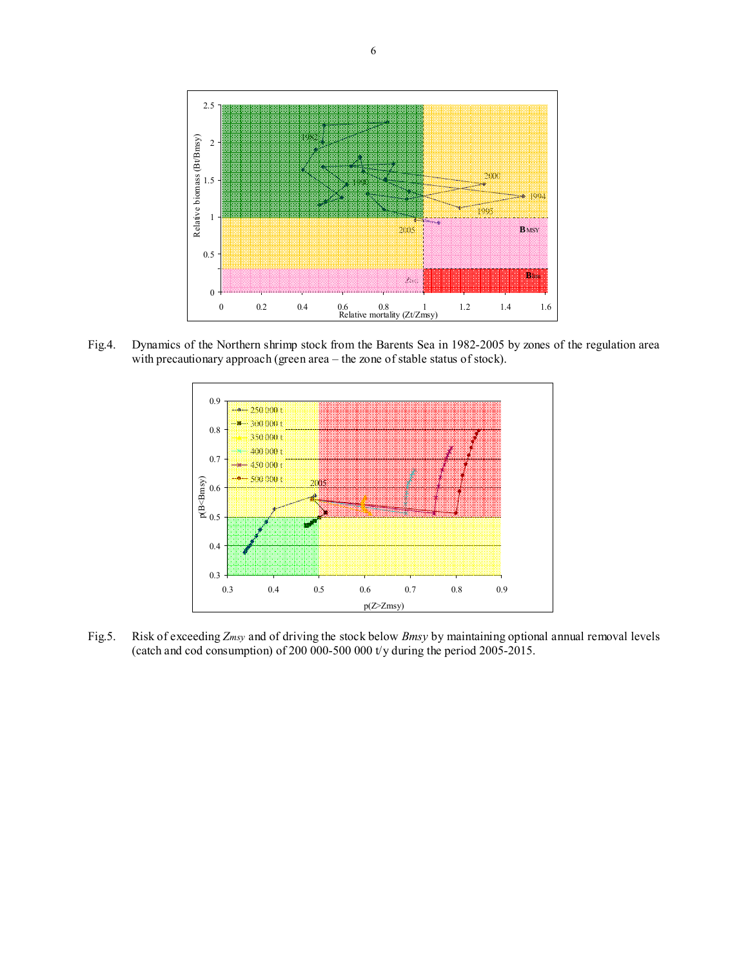

Fig.4. Dynamics of the Northern shrimp stock from the Barents Sea in 1982-2005 by zones of the regulation area with precautionary approach (green area – the zone of stable status of stock).



Fig.5. Risk of exceeding *Zmsy* and of driving the stock below *Bmsy* by maintaining optional annual removal levels (catch and cod consumption) of 200 000-500 000 t/y during the period 2005-2015.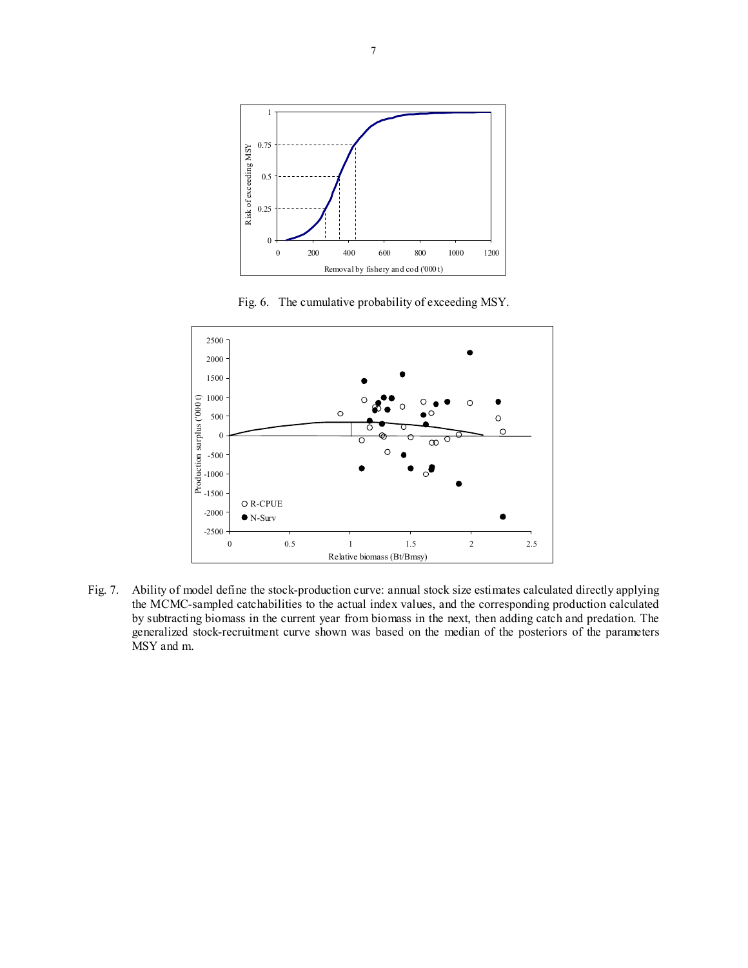

Fig. 6. The cumulative probability of exceeding MSY.



Fig. 7. Ability of model define the stock-production curve: annual stock size estimates calculated directly applying the MCMC-sampled catchabilities to the actual index values, and the corresponding production calculated by subtracting biomass in the current year from biomass in the next, then adding catch and predation. The generalized stock-recruitment curve shown was based on the median of the posteriors of the parameters MSY and m.